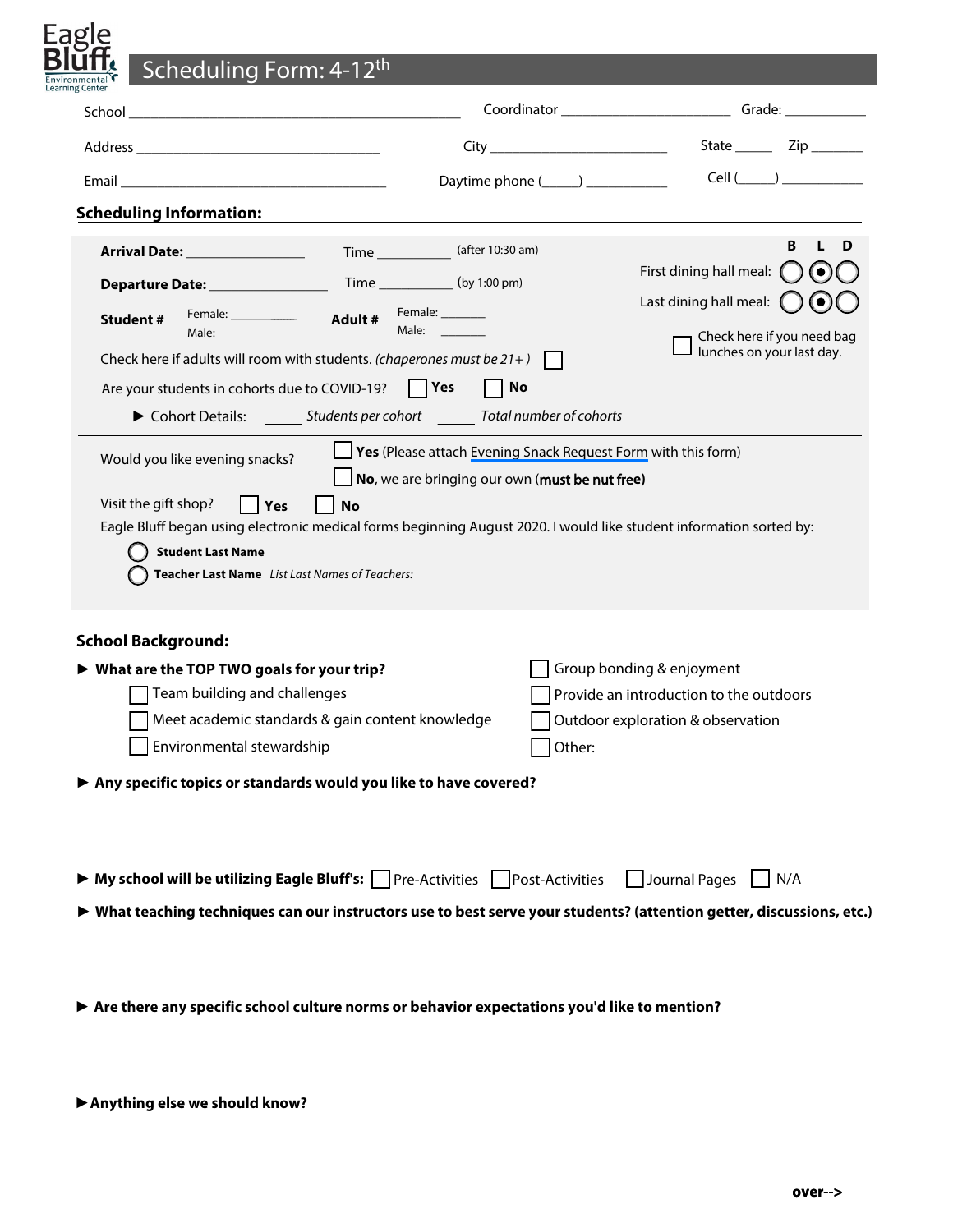| Scheduling Form: 4-12 <sup>th</sup>                                                                                                                          |                                                                                                                                                                                                                                                     |                                                                                  |
|--------------------------------------------------------------------------------------------------------------------------------------------------------------|-----------------------------------------------------------------------------------------------------------------------------------------------------------------------------------------------------------------------------------------------------|----------------------------------------------------------------------------------|
| Learning Center                                                                                                                                              |                                                                                                                                                                                                                                                     | Coordinator ________________________________Grade: _____________________________ |
|                                                                                                                                                              |                                                                                                                                                                                                                                                     |                                                                                  |
|                                                                                                                                                              | Daytime phone (_____) ___________                                                                                                                                                                                                                   | Cell( )                                                                          |
| <b>Scheduling Information:</b>                                                                                                                               |                                                                                                                                                                                                                                                     |                                                                                  |
|                                                                                                                                                              | Time _____________ (after 10:30 am)                                                                                                                                                                                                                 | в                                                                                |
| Departure Date: ________________                                                                                                                             | Time ___________(by 1:00 pm)                                                                                                                                                                                                                        | First dining hall meal:                                                          |
| <b>Student#</b>                                                                                                                                              | Female: _______                                                                                                                                                                                                                                     | Last dining hall meal:                                                           |
| Male: and the state of the state of the state of the state of the state of the state of the state of the state                                               | Male:                                                                                                                                                                                                                                               | Check here if you need bag                                                       |
| Check here if adults will room with students. (chaperones must be $21+$ )                                                                                    |                                                                                                                                                                                                                                                     | lunches on your last day.                                                        |
| Are your students in cohorts due to COVID-19?                                                                                                                | <b>No</b><br>  Yes                                                                                                                                                                                                                                  |                                                                                  |
|                                                                                                                                                              | Cohort Details: Students per cohort Total number of cohorts                                                                                                                                                                                         |                                                                                  |
| Would you like evening snacks?<br>Visit the gift shop?<br>$\lceil \ \vert$ Yes<br><b>Student Last Name</b><br>Teacher Last Name List Last Names of Teachers: | Yes (Please attach Evening Snack Request Form with this form)<br>No, we are bringing our own (must be nut free)<br><b>No</b><br>Eagle Bluff began using electronic medical forms beginning August 2020. I would like student information sorted by: |                                                                                  |
|                                                                                                                                                              |                                                                                                                                                                                                                                                     |                                                                                  |
| <b>School Background:</b>                                                                                                                                    |                                                                                                                                                                                                                                                     |                                                                                  |
| ▶ What are the TOP TWO goals for your trip?<br>Team building and challenges                                                                                  |                                                                                                                                                                                                                                                     | Group bonding & enjoyment<br>Provide an introduction to the outdoors             |
|                                                                                                                                                              | Meet academic standards & gain content knowledge                                                                                                                                                                                                    | Outdoor exploration & observation                                                |
| Environmental stewardship                                                                                                                                    | Other:                                                                                                                                                                                                                                              |                                                                                  |
| Any specific topics or standards would you like to have covered?                                                                                             |                                                                                                                                                                                                                                                     |                                                                                  |
|                                                                                                                                                              | $\triangleright$ My school will be utilizing Eagle Bluff's: Pre-Activities Post-Activities                                                                                                                                                          | Journal Pages<br>$\vert$ $\vert$ N/A                                             |
|                                                                                                                                                              | > What teaching techniques can our instructors use to best serve your students? (attention getter, discussions, etc.)                                                                                                                               |                                                                                  |